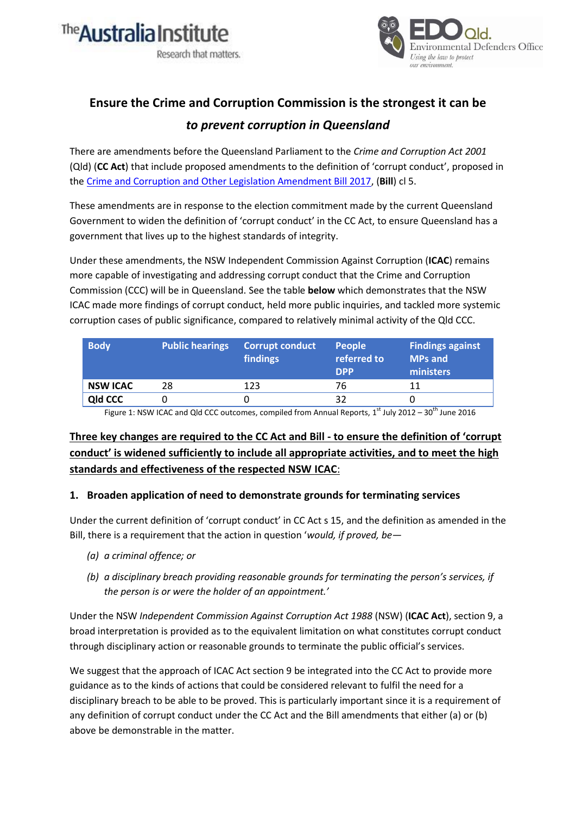



# **Ensure the Crime and Corruption Commission is the strongest it can be**  *to prevent corruption in Queensland*

There are amendments before the Queensland Parliament to the *Crime and Corruption Act 2001* (Qld) (**CC Act**) that include proposed amendments to the definition of 'corrupt conduct', proposed in th[e Crime and Corruption and Other Legislation Amendment Bill 2017,](https://www.legislation.qld.gov.au/Bills/55PDF/2017/B16_0105_Crime_and_Corruption_and_Other_Legislation_Amendment_Bill_2017.pdf) (**Bill**) cl 5.

These amendments are in response to the election commitment made by the current Queensland Government to widen the definition of 'corrupt conduct' in the CC Act, to ensure Queensland has a government that lives up to the highest standards of integrity.

Under these amendments, the NSW Independent Commission Against Corruption (**ICAC**) remains more capable of investigating and addressing corrupt conduct that the Crime and Corruption Commission (CCC) will be in Queensland. See the table **below** which demonstrates that the NSW ICAC made more findings of corrupt conduct, held more public inquiries, and tackled more systemic corruption cases of public significance, compared to relatively minimal activity of the Qld CCC.

| <b>Body</b>     | <b>Public hearings</b> | <b>Corrupt conduct</b><br>findings | <b>People</b><br>referred to<br><b>DPP</b> | <b>Findings against</b><br><b>MPs and</b><br>ministers |
|-----------------|------------------------|------------------------------------|--------------------------------------------|--------------------------------------------------------|
| <b>NSW ICAC</b> | 28.                    | 123                                | 76                                         | 11                                                     |
| <b>Qld CCC</b>  |                        |                                    | 32                                         |                                                        |

Figure 1: NSW ICAC and Qld CCC outcomes, compiled from Annual Reports, 1<sup>st</sup> July 2012 - 30<sup>th</sup> June 2016

## **Three key changes are required to the CC Act and Bill - to ensure the definition of 'corrupt conduct' is widened sufficiently to include all appropriate activities, and to meet the high standards and effectiveness of the respected NSW ICAC**:

### **1. Broaden application of need to demonstrate grounds for terminating services**

Under the current definition of 'corrupt conduct' in CC Act s 15, and the definition as amended in the Bill, there is a requirement that the action in question '*would, if proved, be—*

- *(a) a criminal offence; or*
- *(b) a disciplinary breach providing reasonable grounds for terminating the person's services, if the person is or were the holder of an appointment.'*

Under the NSW *Independent Commission Against Corruption Act 1988* (NSW) (**ICAC Act**), section 9, a broad interpretation is provided as to the equivalent limitation on what constitutes corrupt conduct through disciplinary action or reasonable grounds to terminate the public official's services.

We suggest that the approach of ICAC Act section 9 be integrated into the CC Act to provide more guidance as to the kinds of actions that could be considered relevant to fulfil the need for a disciplinary breach to be able to be proved. This is particularly important since it is a requirement of any definition of corrupt conduct under the CC Act and the Bill amendments that either (a) or (b) above be demonstrable in the matter.